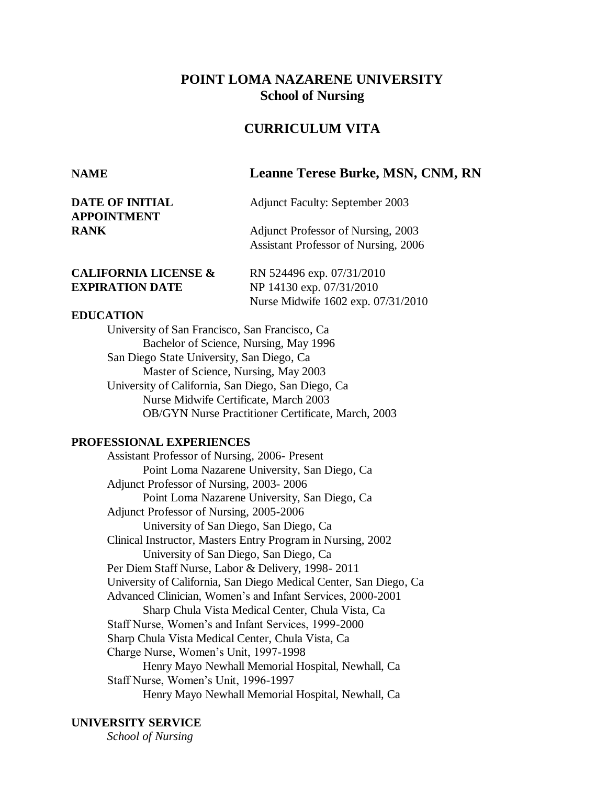# **POINT LOMA NAZARENE UNIVERSITY School of Nursing**

## **CURRICULUM VITA**

| <b>DATE OF INITIAL</b><br><b>APPOINTMENT</b> | <b>Adjunct Faculty: September 2003</b>                                     |
|----------------------------------------------|----------------------------------------------------------------------------|
| <b>RANK</b>                                  | Adjunct Professor of Nursing, 2003<br>Assistant Professor of Nursing, 2006 |

**NAME Leanne Terese Burke, MSN, CNM, RN**

| <b>CALIFORNIA LICENSE &amp;</b> | RN 524496 exp. 07/31/2010          |
|---------------------------------|------------------------------------|
| <b>EXPIRATION DATE</b>          | NP 14130 exp. 07/31/2010           |
|                                 | Nurse Midwife 1602 exp. 07/31/2010 |

### **EDUCATION**

University of San Francisco, San Francisco, Ca Bachelor of Science, Nursing, May 1996 San Diego State University, San Diego, Ca Master of Science, Nursing, May 2003 University of California, San Diego, San Diego, Ca Nurse Midwife Certificate, March 2003 OB/GYN Nurse Practitioner Certificate, March, 2003

#### **PROFESSIONAL EXPERIENCES**

Assistant Professor of Nursing, 2006- Present Point Loma Nazarene University, San Diego, Ca Adjunct Professor of Nursing, 2003- 2006 Point Loma Nazarene University, San Diego, Ca Adjunct Professor of Nursing, 2005-2006 University of San Diego, San Diego, Ca Clinical Instructor, Masters Entry Program in Nursing, 2002 University of San Diego, San Diego, Ca Per Diem Staff Nurse, Labor & Delivery, 1998- 2011 University of California, San Diego Medical Center, San Diego, Ca Advanced Clinician, Women's and Infant Services, 2000-2001 Sharp Chula Vista Medical Center, Chula Vista, Ca Staff Nurse, Women's and Infant Services, 1999-2000 Sharp Chula Vista Medical Center, Chula Vista, Ca Charge Nurse, Women's Unit, 1997-1998 Henry Mayo Newhall Memorial Hospital, Newhall, Ca Staff Nurse, Women's Unit, 1996-1997 Henry Mayo Newhall Memorial Hospital, Newhall, Ca

### **UNIVERSITY SERVICE**

*School of Nursing*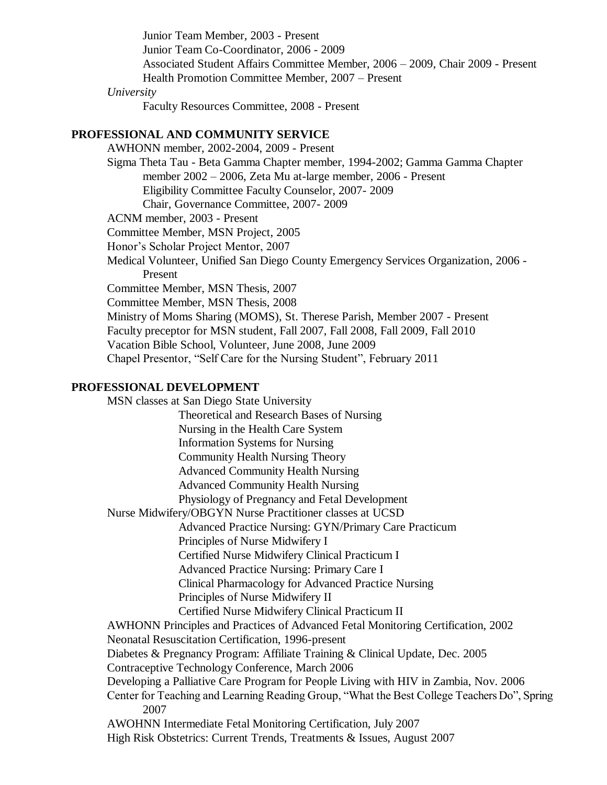Junior Team Member, 2003 - Present Junior Team Co-Coordinator, 2006 - 2009 Associated Student Affairs Committee Member, 2006 – 2009, Chair 2009 - Present Health Promotion Committee Member, 2007 – Present *University* Faculty Resources Committee, 2008 - Present **PROFESSIONAL AND COMMUNITY SERVICE** AWHONN member, 2002-2004, 2009 - Present Sigma Theta Tau - Beta Gamma Chapter member, 1994-2002; Gamma Gamma Chapter member 2002 – 2006, Zeta Mu at-large member, 2006 - Present Eligibility Committee Faculty Counselor, 2007- 2009 Chair, Governance Committee, 2007- 2009 ACNM member, 2003 - Present Committee Member, MSN Project, 2005 Honor's Scholar Project Mentor, 2007

Medical Volunteer, Unified San Diego County Emergency Services Organization, 2006 - Present

Committee Member, MSN Thesis, 2007

Committee Member, MSN Thesis, 2008

Ministry of Moms Sharing (MOMS), St. Therese Parish, Member 2007 - Present

Faculty preceptor for MSN student, Fall 2007, Fall 2008, Fall 2009, Fall 2010

Vacation Bible School, Volunteer, June 2008, June 2009

Chapel Presentor, "Self Care for the Nursing Student", February 2011

## **PROFESSIONAL DEVELOPMENT**

MSN classes at San Diego State University

Theoretical and Research Bases of Nursing

Nursing in the Health Care System

Information Systems for Nursing

Community Health Nursing Theory

Advanced Community Health Nursing

Advanced Community Health Nursing

Physiology of Pregnancy and Fetal Development

Nurse Midwifery/OBGYN Nurse Practitioner classes at UCSD

Advanced Practice Nursing: GYN/Primary Care Practicum

Principles of Nurse Midwifery I

Certified Nurse Midwifery Clinical Practicum I

Advanced Practice Nursing: Primary Care I

Clinical Pharmacology for Advanced Practice Nursing

Principles of Nurse Midwifery II

Certified Nurse Midwifery Clinical Practicum II

AWHONN Principles and Practices of Advanced Fetal Monitoring Certification, 2002

Neonatal Resuscitation Certification, 1996-present

Diabetes & Pregnancy Program: Affiliate Training & Clinical Update, Dec. 2005

Contraceptive Technology Conference, March 2006

Developing a Palliative Care Program for People Living with HIV in Zambia, Nov. 2006

Center for Teaching and Learning Reading Group, "What the Best College Teachers Do", Spring 2007

AWOHNN Intermediate Fetal Monitoring Certification, July 2007

High Risk Obstetrics: Current Trends, Treatments & Issues, August 2007